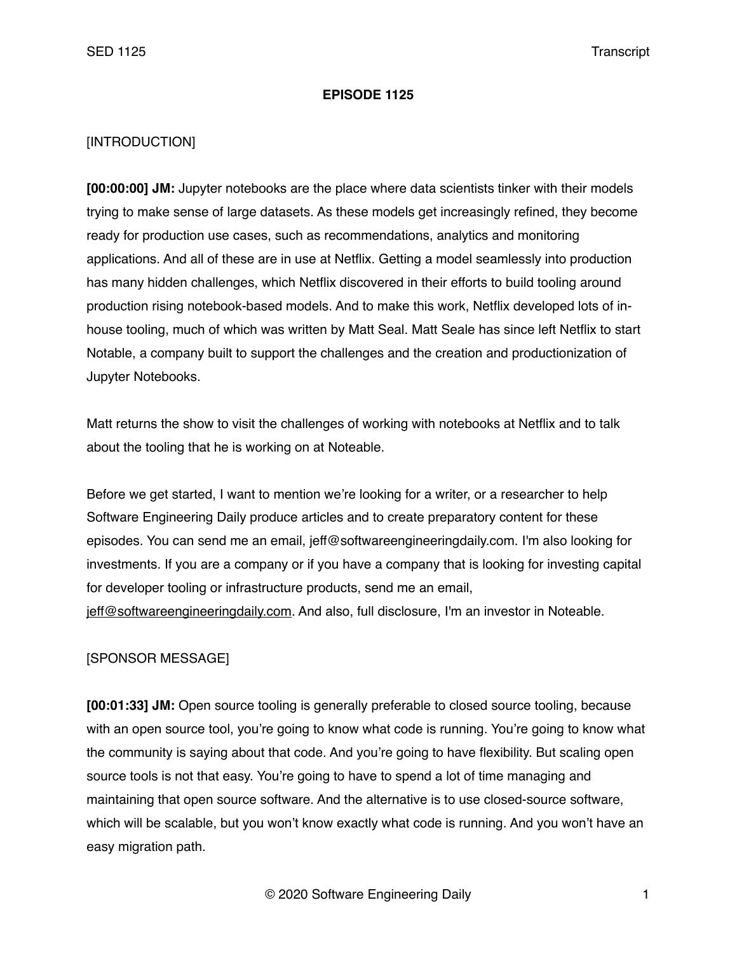#### **EPISODE 1125**

### [INTRODUCTION]

**[00:00:00] JM:** Jupyter notebooks are the place where data scientists tinker with their models trying to make sense of large datasets. As these models get increasingly refined, they become ready for production use cases, such as recommendations, analytics and monitoring applications. And all of these are in use at Netflix. Getting a model seamlessly into production has many hidden challenges, which Netflix discovered in their efforts to build tooling around production rising notebook-based models. And to make this work, Netflix developed lots of inhouse tooling, much of which was written by Matt Seal. Matt Seale has since left Netflix to start Notable, a company built to support the challenges and the creation and productionization of Jupyter Notebooks.

Matt returns the show to visit the challenges of working with notebooks at Netflix and to talk about the tooling that he is working on at Noteable.

Before we get started, I want to mention we're looking for a writer, or a researcher to help Software Engineering Daily produce articles and to create preparatory content for these episodes. You can send me an email, jeff@softwareengineeringdaily.com. I'm also looking for investments. If you are a company or if you have a company that is looking for investing capital for developer tooling or infrastructure products, send me an email, [jeff@softwareengineeringdaily.com](mailto:jeff@softwareengineeringdaily.com). And also, full disclosure, I'm an investor in Noteable.

## [SPONSOR MESSAGE]

**[00:01:33] JM:** Open source tooling is generally preferable to closed source tooling, because with an open source tool, you're going to know what code is running. You're going to know what the community is saying about that code. And you're going to have flexibility. But scaling open source tools is not that easy. You're going to have to spend a lot of time managing and maintaining that open source software. And the alternative is to use closed-source software, which will be scalable, but you won't know exactly what code is running. And you won't have an easy migration path.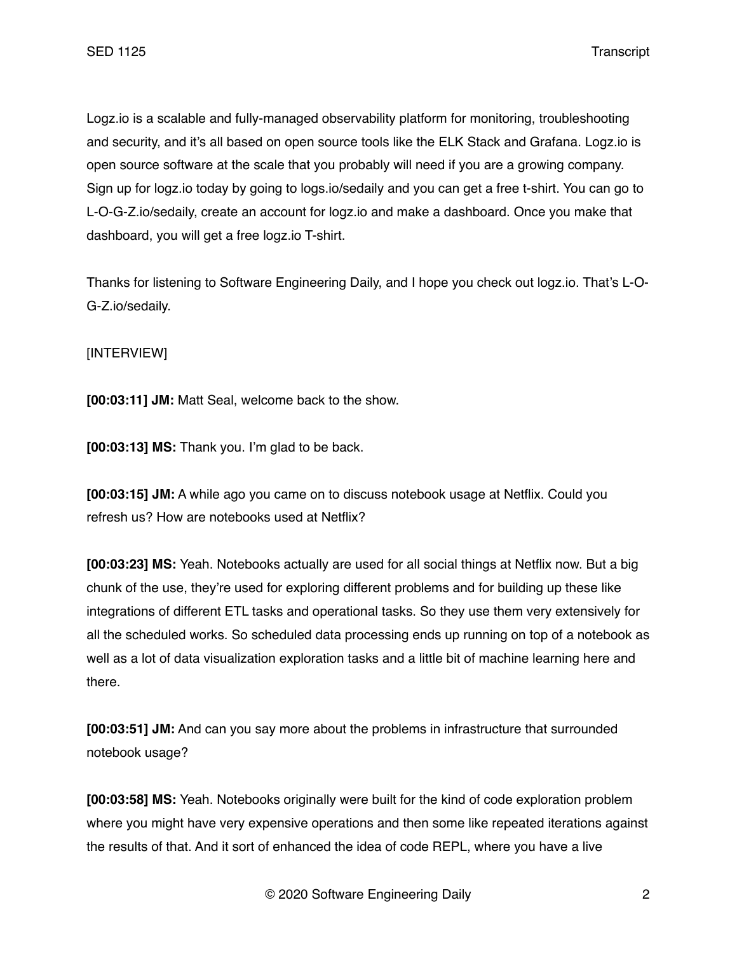Logz.io is a scalable and fully-managed observability platform for monitoring, troubleshooting and security, and it's all based on open source tools like the ELK Stack and Grafana. Logz.io is open source software at the scale that you probably will need if you are a growing company. Sign up for logz.io today by going to logs.io/sedaily and you can get a free t-shirt. You can go to L-O-G-Z.io/sedaily, create an account for logz.io and make a dashboard. Once you make that dashboard, you will get a free logz.io T-shirt.

Thanks for listening to Software Engineering Daily, and I hope you check out logz.io. That's L-O-G-Z.io/sedaily.

## [INTERVIEW]

**[00:03:11] JM:** Matt Seal, welcome back to the show.

**[00:03:13] MS:** Thank you. I'm glad to be back.

**[00:03:15] JM:** A while ago you came on to discuss notebook usage at Netflix. Could you refresh us? How are notebooks used at Netflix?

**[00:03:23] MS:** Yeah. Notebooks actually are used for all social things at Netflix now. But a big chunk of the use, they're used for exploring different problems and for building up these like integrations of different ETL tasks and operational tasks. So they use them very extensively for all the scheduled works. So scheduled data processing ends up running on top of a notebook as well as a lot of data visualization exploration tasks and a little bit of machine learning here and there.

**[00:03:51] JM:** And can you say more about the problems in infrastructure that surrounded notebook usage?

**[00:03:58] MS:** Yeah. Notebooks originally were built for the kind of code exploration problem where you might have very expensive operations and then some like repeated iterations against the results of that. And it sort of enhanced the idea of code REPL, where you have a live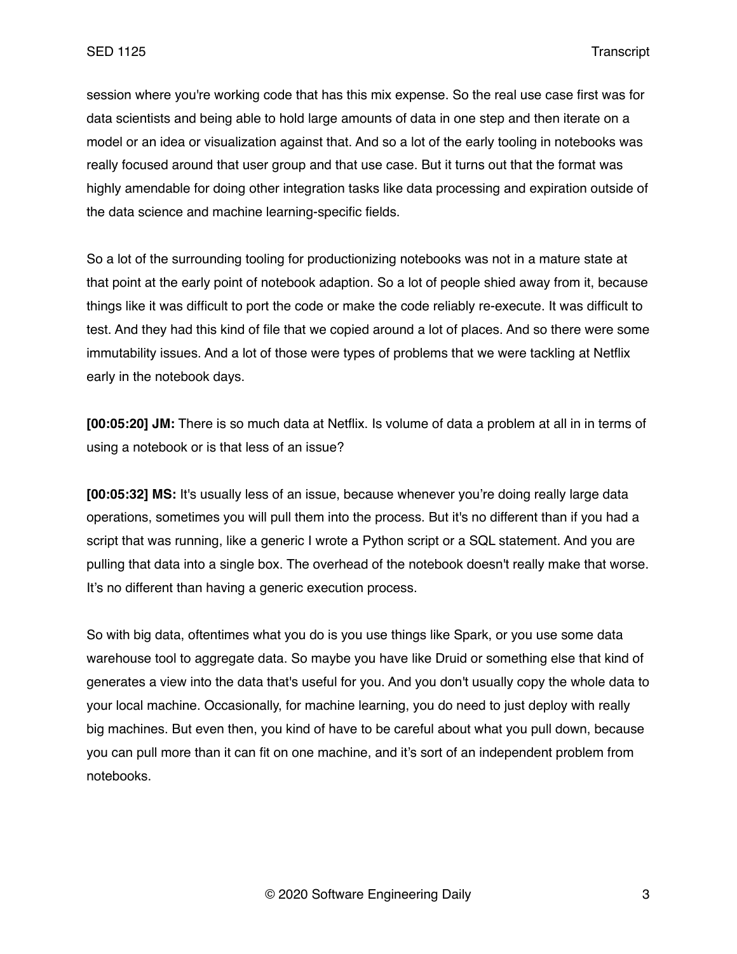session where you're working code that has this mix expense. So the real use case first was for data scientists and being able to hold large amounts of data in one step and then iterate on a model or an idea or visualization against that. And so a lot of the early tooling in notebooks was really focused around that user group and that use case. But it turns out that the format was highly amendable for doing other integration tasks like data processing and expiration outside of the data science and machine learning-specific fields.

So a lot of the surrounding tooling for productionizing notebooks was not in a mature state at that point at the early point of notebook adaption. So a lot of people shied away from it, because things like it was difficult to port the code or make the code reliably re-execute. It was difficult to test. And they had this kind of file that we copied around a lot of places. And so there were some immutability issues. And a lot of those were types of problems that we were tackling at Netflix early in the notebook days.

**[00:05:20] JM:** There is so much data at Netflix. Is volume of data a problem at all in in terms of using a notebook or is that less of an issue?

**[00:05:32] MS:** It's usually less of an issue, because whenever you're doing really large data operations, sometimes you will pull them into the process. But it's no different than if you had a script that was running, like a generic I wrote a Python script or a SQL statement. And you are pulling that data into a single box. The overhead of the notebook doesn't really make that worse. It's no different than having a generic execution process.

So with big data, oftentimes what you do is you use things like Spark, or you use some data warehouse tool to aggregate data. So maybe you have like Druid or something else that kind of generates a view into the data that's useful for you. And you don't usually copy the whole data to your local machine. Occasionally, for machine learning, you do need to just deploy with really big machines. But even then, you kind of have to be careful about what you pull down, because you can pull more than it can fit on one machine, and it's sort of an independent problem from notebooks.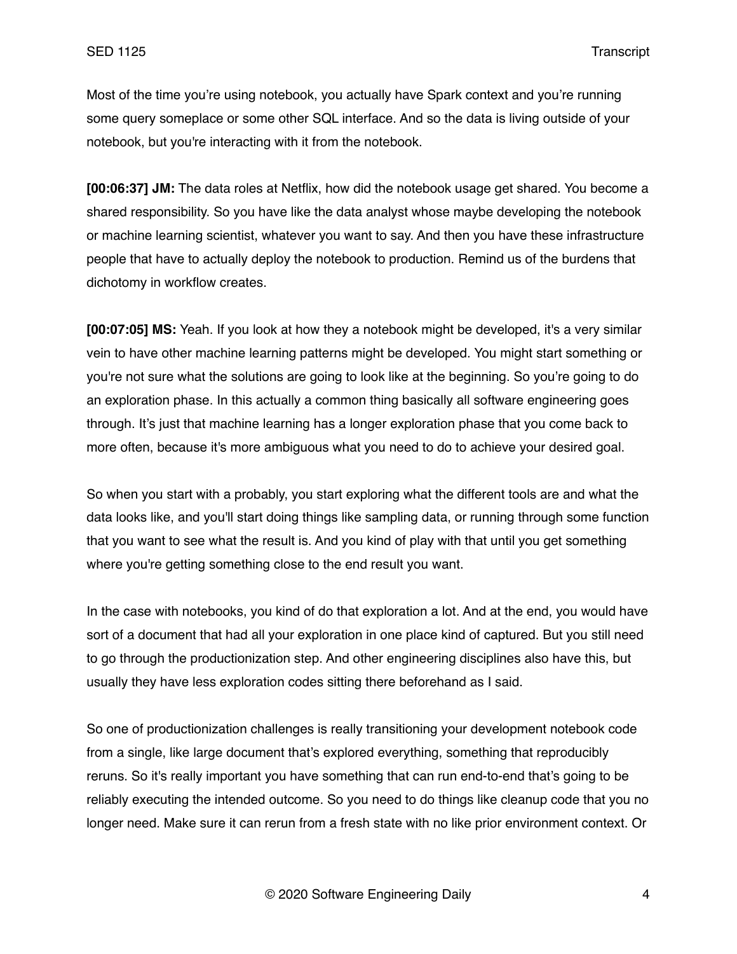Most of the time you're using notebook, you actually have Spark context and you're running some query someplace or some other SQL interface. And so the data is living outside of your notebook, but you're interacting with it from the notebook.

**[00:06:37] JM:** The data roles at Netflix, how did the notebook usage get shared. You become a shared responsibility. So you have like the data analyst whose maybe developing the notebook or machine learning scientist, whatever you want to say. And then you have these infrastructure people that have to actually deploy the notebook to production. Remind us of the burdens that dichotomy in workflow creates.

**[00:07:05] MS:** Yeah. If you look at how they a notebook might be developed, it's a very similar vein to have other machine learning patterns might be developed. You might start something or you're not sure what the solutions are going to look like at the beginning. So you're going to do an exploration phase. In this actually a common thing basically all software engineering goes through. It's just that machine learning has a longer exploration phase that you come back to more often, because it's more ambiguous what you need to do to achieve your desired goal.

So when you start with a probably, you start exploring what the different tools are and what the data looks like, and you'll start doing things like sampling data, or running through some function that you want to see what the result is. And you kind of play with that until you get something where you're getting something close to the end result you want.

In the case with notebooks, you kind of do that exploration a lot. And at the end, you would have sort of a document that had all your exploration in one place kind of captured. But you still need to go through the productionization step. And other engineering disciplines also have this, but usually they have less exploration codes sitting there beforehand as I said.

So one of productionization challenges is really transitioning your development notebook code from a single, like large document that's explored everything, something that reproducibly reruns. So it's really important you have something that can run end-to-end that's going to be reliably executing the intended outcome. So you need to do things like cleanup code that you no longer need. Make sure it can rerun from a fresh state with no like prior environment context. Or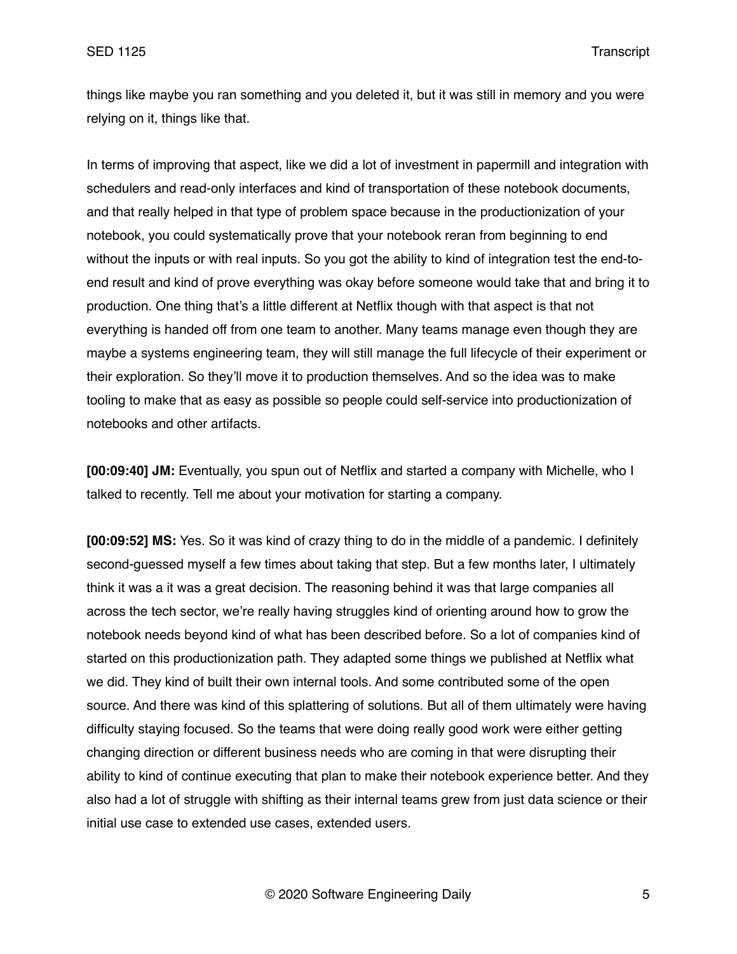things like maybe you ran something and you deleted it, but it was still in memory and you were relying on it, things like that.

In terms of improving that aspect, like we did a lot of investment in papermill and integration with schedulers and read-only interfaces and kind of transportation of these notebook documents, and that really helped in that type of problem space because in the productionization of your notebook, you could systematically prove that your notebook reran from beginning to end without the inputs or with real inputs. So you got the ability to kind of integration test the end-toend result and kind of prove everything was okay before someone would take that and bring it to production. One thing that's a little different at Netflix though with that aspect is that not everything is handed off from one team to another. Many teams manage even though they are maybe a systems engineering team, they will still manage the full lifecycle of their experiment or their exploration. So they'll move it to production themselves. And so the idea was to make tooling to make that as easy as possible so people could self-service into productionization of notebooks and other artifacts.

**[00:09:40] JM:** Eventually, you spun out of Netflix and started a company with Michelle, who I talked to recently. Tell me about your motivation for starting a company.

**[00:09:52] MS:** Yes. So it was kind of crazy thing to do in the middle of a pandemic. I definitely second-guessed myself a few times about taking that step. But a few months later, I ultimately think it was a it was a great decision. The reasoning behind it was that large companies all across the tech sector, we're really having struggles kind of orienting around how to grow the notebook needs beyond kind of what has been described before. So a lot of companies kind of started on this productionization path. They adapted some things we published at Netflix what we did. They kind of built their own internal tools. And some contributed some of the open source. And there was kind of this splattering of solutions. But all of them ultimately were having difficulty staying focused. So the teams that were doing really good work were either getting changing direction or different business needs who are coming in that were disrupting their ability to kind of continue executing that plan to make their notebook experience better. And they also had a lot of struggle with shifting as their internal teams grew from just data science or their initial use case to extended use cases, extended users.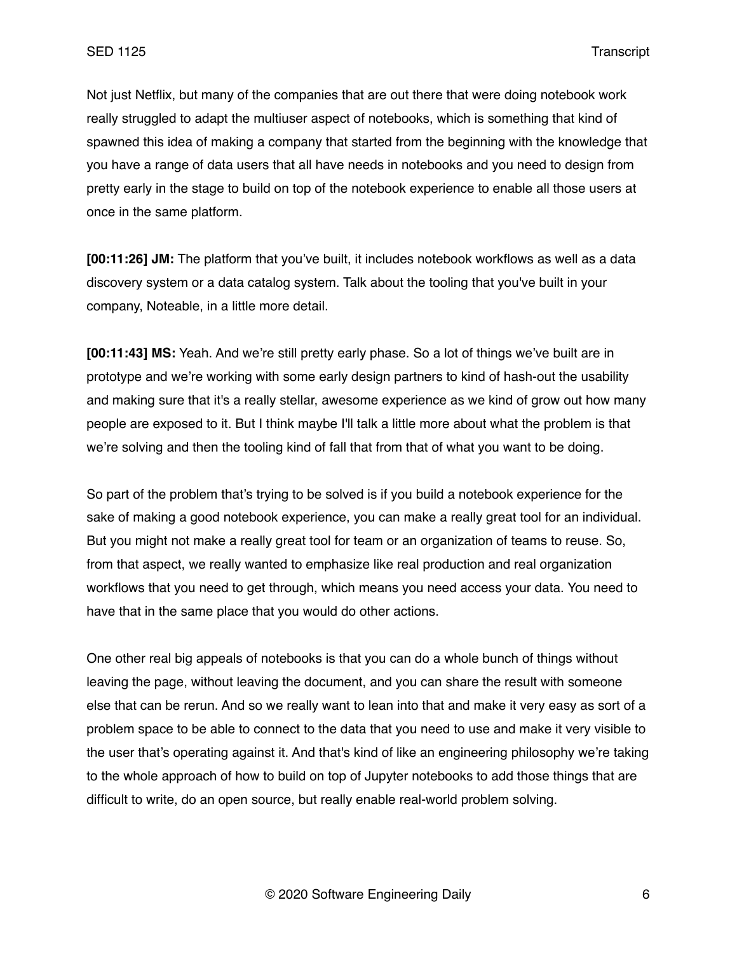Not just Netflix, but many of the companies that are out there that were doing notebook work really struggled to adapt the multiuser aspect of notebooks, which is something that kind of spawned this idea of making a company that started from the beginning with the knowledge that you have a range of data users that all have needs in notebooks and you need to design from pretty early in the stage to build on top of the notebook experience to enable all those users at once in the same platform.

**[00:11:26] JM:** The platform that you've built, it includes notebook workflows as well as a data discovery system or a data catalog system. Talk about the tooling that you've built in your company, Noteable, in a little more detail.

**[00:11:43] MS:** Yeah. And we're still pretty early phase. So a lot of things we've built are in prototype and we're working with some early design partners to kind of hash-out the usability and making sure that it's a really stellar, awesome experience as we kind of grow out how many people are exposed to it. But I think maybe I'll talk a little more about what the problem is that we're solving and then the tooling kind of fall that from that of what you want to be doing.

So part of the problem that's trying to be solved is if you build a notebook experience for the sake of making a good notebook experience, you can make a really great tool for an individual. But you might not make a really great tool for team or an organization of teams to reuse. So, from that aspect, we really wanted to emphasize like real production and real organization workflows that you need to get through, which means you need access your data. You need to have that in the same place that you would do other actions.

One other real big appeals of notebooks is that you can do a whole bunch of things without leaving the page, without leaving the document, and you can share the result with someone else that can be rerun. And so we really want to lean into that and make it very easy as sort of a problem space to be able to connect to the data that you need to use and make it very visible to the user that's operating against it. And that's kind of like an engineering philosophy we're taking to the whole approach of how to build on top of Jupyter notebooks to add those things that are difficult to write, do an open source, but really enable real-world problem solving.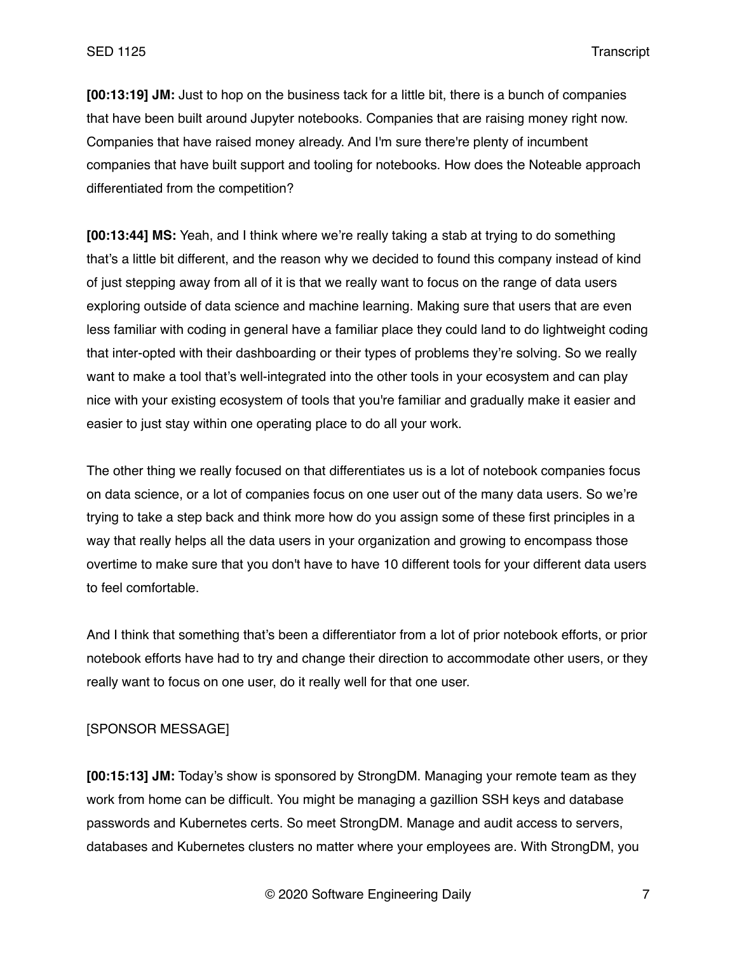**[00:13:19] JM:** Just to hop on the business tack for a little bit, there is a bunch of companies that have been built around Jupyter notebooks. Companies that are raising money right now. Companies that have raised money already. And I'm sure there're plenty of incumbent companies that have built support and tooling for notebooks. How does the Noteable approach differentiated from the competition?

**[00:13:44] MS:** Yeah, and I think where we're really taking a stab at trying to do something that's a little bit different, and the reason why we decided to found this company instead of kind of just stepping away from all of it is that we really want to focus on the range of data users exploring outside of data science and machine learning. Making sure that users that are even less familiar with coding in general have a familiar place they could land to do lightweight coding that inter-opted with their dashboarding or their types of problems they're solving. So we really want to make a tool that's well-integrated into the other tools in your ecosystem and can play nice with your existing ecosystem of tools that you're familiar and gradually make it easier and easier to just stay within one operating place to do all your work.

The other thing we really focused on that differentiates us is a lot of notebook companies focus on data science, or a lot of companies focus on one user out of the many data users. So we're trying to take a step back and think more how do you assign some of these first principles in a way that really helps all the data users in your organization and growing to encompass those overtime to make sure that you don't have to have 10 different tools for your different data users to feel comfortable.

And I think that something that's been a differentiator from a lot of prior notebook efforts, or prior notebook efforts have had to try and change their direction to accommodate other users, or they really want to focus on one user, do it really well for that one user.

### [SPONSOR MESSAGE]

**[00:15:13] JM:** Today's show is sponsored by StrongDM. Managing your remote team as they work from home can be difficult. You might be managing a gazillion SSH keys and database passwords and Kubernetes certs. So meet StrongDM. Manage and audit access to servers, databases and Kubernetes clusters no matter where your employees are. With StrongDM, you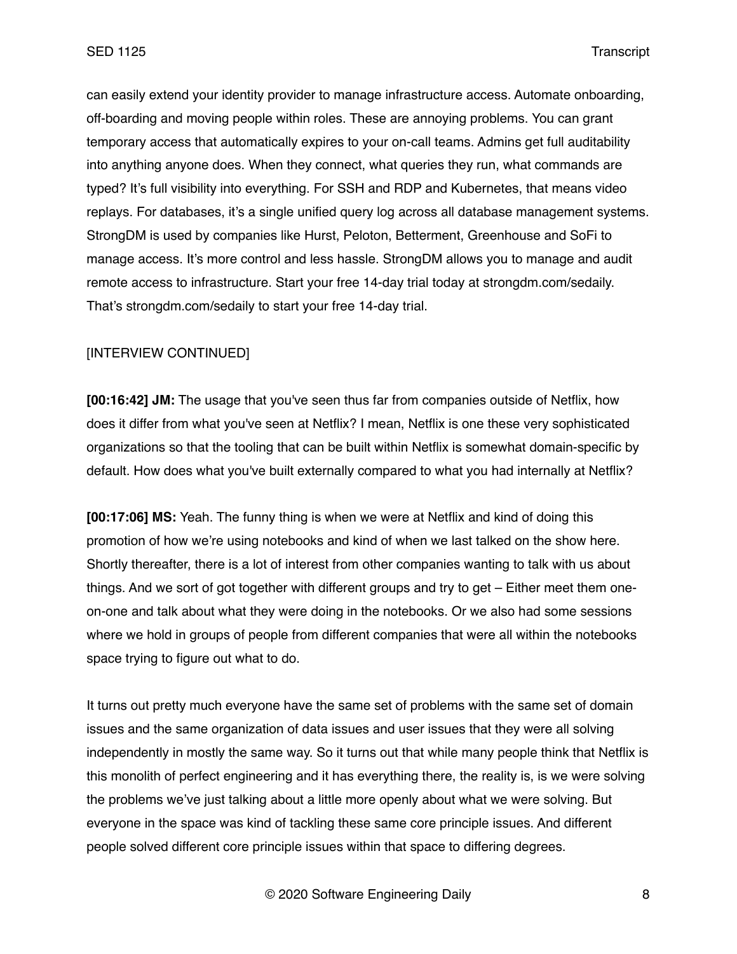can easily extend your identity provider to manage infrastructure access. Automate onboarding, off-boarding and moving people within roles. These are annoying problems. You can grant temporary access that automatically expires to your on-call teams. Admins get full auditability into anything anyone does. When they connect, what queries they run, what commands are typed? It's full visibility into everything. For SSH and RDP and Kubernetes, that means video replays. For databases, it's a single unified query log across all database management systems. StrongDM is used by companies like Hurst, Peloton, Betterment, Greenhouse and SoFi to manage access. It's more control and less hassle. StrongDM allows you to manage and audit remote access to infrastructure. Start your free 14-day trial today at strongdm.com/sedaily. That's strongdm.com/sedaily to start your free 14-day trial.

## [INTERVIEW CONTINUED]

**[00:16:42] JM:** The usage that you've seen thus far from companies outside of Netflix, how does it differ from what you've seen at Netflix? I mean, Netflix is one these very sophisticated organizations so that the tooling that can be built within Netflix is somewhat domain-specific by default. How does what you've built externally compared to what you had internally at Netflix?

**[00:17:06] MS:** Yeah. The funny thing is when we were at Netflix and kind of doing this promotion of how we're using notebooks and kind of when we last talked on the show here. Shortly thereafter, there is a lot of interest from other companies wanting to talk with us about things. And we sort of got together with different groups and try to get – Either meet them oneon-one and talk about what they were doing in the notebooks. Or we also had some sessions where we hold in groups of people from different companies that were all within the notebooks space trying to figure out what to do.

It turns out pretty much everyone have the same set of problems with the same set of domain issues and the same organization of data issues and user issues that they were all solving independently in mostly the same way. So it turns out that while many people think that Netflix is this monolith of perfect engineering and it has everything there, the reality is, is we were solving the problems we've just talking about a little more openly about what we were solving. But everyone in the space was kind of tackling these same core principle issues. And different people solved different core principle issues within that space to differing degrees.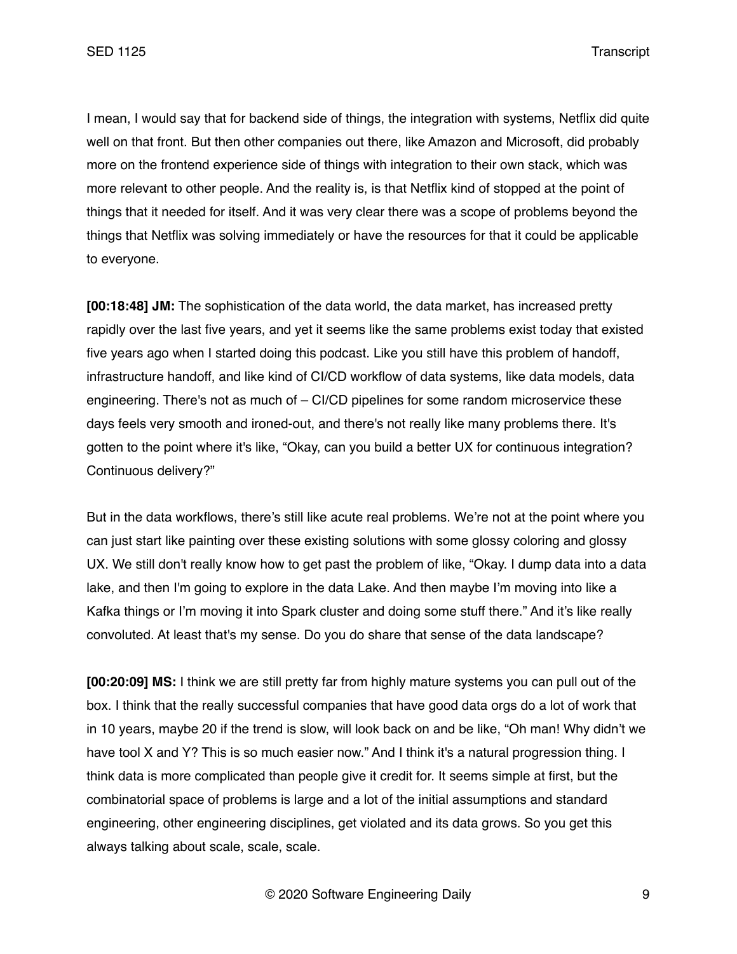I mean, I would say that for backend side of things, the integration with systems, Netflix did quite well on that front. But then other companies out there, like Amazon and Microsoft, did probably more on the frontend experience side of things with integration to their own stack, which was more relevant to other people. And the reality is, is that Netflix kind of stopped at the point of things that it needed for itself. And it was very clear there was a scope of problems beyond the things that Netflix was solving immediately or have the resources for that it could be applicable to everyone.

**[00:18:48] JM:** The sophistication of the data world, the data market, has increased pretty rapidly over the last five years, and yet it seems like the same problems exist today that existed five years ago when I started doing this podcast. Like you still have this problem of handoff, infrastructure handoff, and like kind of CI/CD workflow of data systems, like data models, data engineering. There's not as much of – CI/CD pipelines for some random microservice these days feels very smooth and ironed-out, and there's not really like many problems there. It's gotten to the point where it's like, "Okay, can you build a better UX for continuous integration? Continuous delivery?"

But in the data workflows, there's still like acute real problems. We're not at the point where you can just start like painting over these existing solutions with some glossy coloring and glossy UX. We still don't really know how to get past the problem of like, "Okay. I dump data into a data lake, and then I'm going to explore in the data Lake. And then maybe I'm moving into like a Kafka things or I'm moving it into Spark cluster and doing some stuff there." And it's like really convoluted. At least that's my sense. Do you do share that sense of the data landscape?

**[00:20:09] MS:** I think we are still pretty far from highly mature systems you can pull out of the box. I think that the really successful companies that have good data orgs do a lot of work that in 10 years, maybe 20 if the trend is slow, will look back on and be like, "Oh man! Why didn't we have tool X and Y? This is so much easier now." And I think it's a natural progression thing. I think data is more complicated than people give it credit for. It seems simple at first, but the combinatorial space of problems is large and a lot of the initial assumptions and standard engineering, other engineering disciplines, get violated and its data grows. So you get this always talking about scale, scale, scale.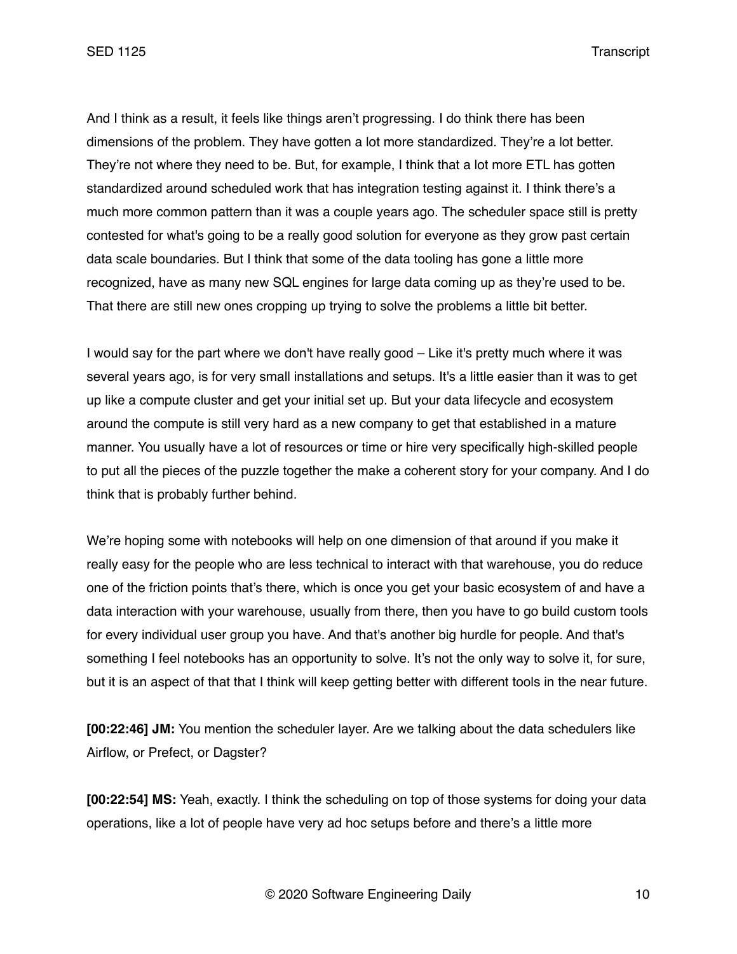And I think as a result, it feels like things aren't progressing. I do think there has been dimensions of the problem. They have gotten a lot more standardized. They're a lot better. They're not where they need to be. But, for example, I think that a lot more ETL has gotten standardized around scheduled work that has integration testing against it. I think there's a much more common pattern than it was a couple years ago. The scheduler space still is pretty contested for what's going to be a really good solution for everyone as they grow past certain data scale boundaries. But I think that some of the data tooling has gone a little more recognized, have as many new SQL engines for large data coming up as they're used to be. That there are still new ones cropping up trying to solve the problems a little bit better.

I would say for the part where we don't have really good – Like it's pretty much where it was several years ago, is for very small installations and setups. It's a little easier than it was to get up like a compute cluster and get your initial set up. But your data lifecycle and ecosystem around the compute is still very hard as a new company to get that established in a mature manner. You usually have a lot of resources or time or hire very specifically high-skilled people to put all the pieces of the puzzle together the make a coherent story for your company. And I do think that is probably further behind.

We're hoping some with notebooks will help on one dimension of that around if you make it really easy for the people who are less technical to interact with that warehouse, you do reduce one of the friction points that's there, which is once you get your basic ecosystem of and have a data interaction with your warehouse, usually from there, then you have to go build custom tools for every individual user group you have. And that's another big hurdle for people. And that's something I feel notebooks has an opportunity to solve. It's not the only way to solve it, for sure, but it is an aspect of that that I think will keep getting better with different tools in the near future.

**[00:22:46] JM:** You mention the scheduler layer. Are we talking about the data schedulers like Airflow, or Prefect, or Dagster?

**[00:22:54] MS:** Yeah, exactly. I think the scheduling on top of those systems for doing your data operations, like a lot of people have very ad hoc setups before and there's a little more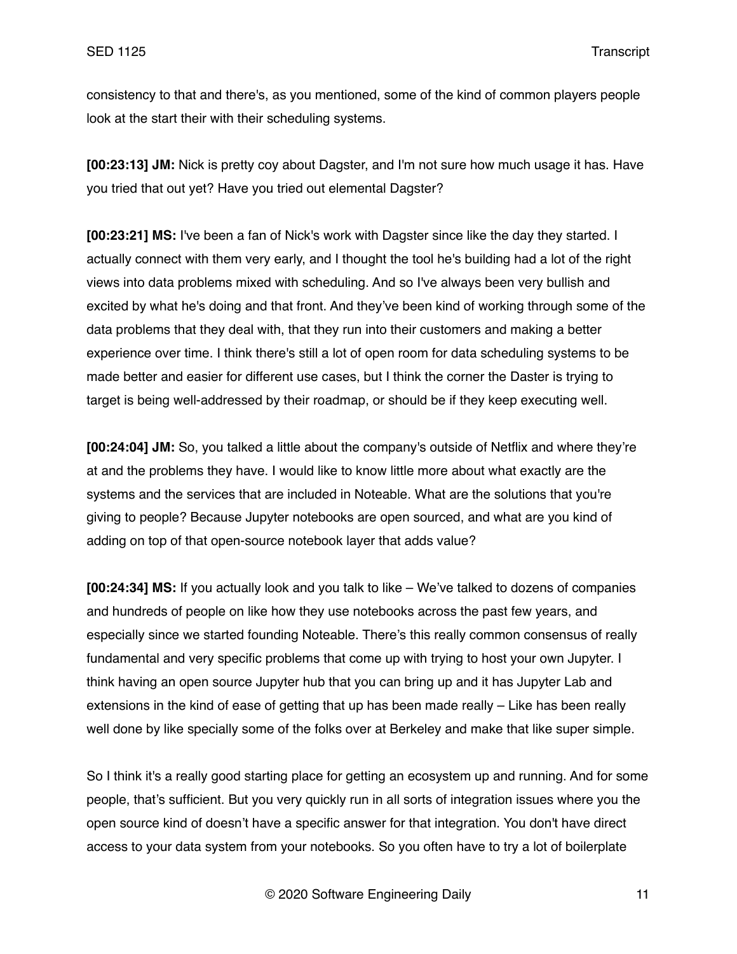consistency to that and there's, as you mentioned, some of the kind of common players people look at the start their with their scheduling systems.

**[00:23:13] JM:** Nick is pretty coy about Dagster, and I'm not sure how much usage it has. Have you tried that out yet? Have you tried out elemental Dagster?

**[00:23:21] MS:** I've been a fan of Nick's work with Dagster since like the day they started. I actually connect with them very early, and I thought the tool he's building had a lot of the right views into data problems mixed with scheduling. And so I've always been very bullish and excited by what he's doing and that front. And they've been kind of working through some of the data problems that they deal with, that they run into their customers and making a better experience over time. I think there's still a lot of open room for data scheduling systems to be made better and easier for different use cases, but I think the corner the Daster is trying to target is being well-addressed by their roadmap, or should be if they keep executing well.

**[00:24:04] JM:** So, you talked a little about the company's outside of Netflix and where they're at and the problems they have. I would like to know little more about what exactly are the systems and the services that are included in Noteable. What are the solutions that you're giving to people? Because Jupyter notebooks are open sourced, and what are you kind of adding on top of that open-source notebook layer that adds value?

**[00:24:34] MS:** If you actually look and you talk to like – We've talked to dozens of companies and hundreds of people on like how they use notebooks across the past few years, and especially since we started founding Noteable. There's this really common consensus of really fundamental and very specific problems that come up with trying to host your own Jupyter. I think having an open source Jupyter hub that you can bring up and it has Jupyter Lab and extensions in the kind of ease of getting that up has been made really – Like has been really well done by like specially some of the folks over at Berkeley and make that like super simple.

So I think it's a really good starting place for getting an ecosystem up and running. And for some people, that's sufficient. But you very quickly run in all sorts of integration issues where you the open source kind of doesn't have a specific answer for that integration. You don't have direct access to your data system from your notebooks. So you often have to try a lot of boilerplate

© 2020 Software Engineering Daily 11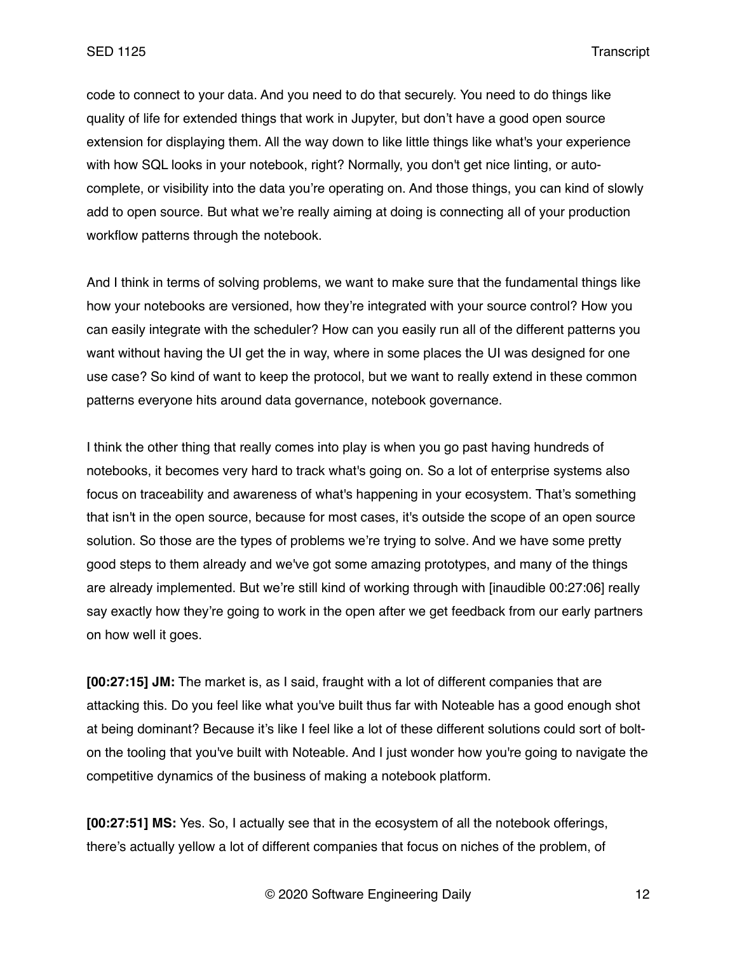code to connect to your data. And you need to do that securely. You need to do things like quality of life for extended things that work in Jupyter, but don't have a good open source extension for displaying them. All the way down to like little things like what's your experience with how SQL looks in your notebook, right? Normally, you don't get nice linting, or autocomplete, or visibility into the data you're operating on. And those things, you can kind of slowly add to open source. But what we're really aiming at doing is connecting all of your production workflow patterns through the notebook.

And I think in terms of solving problems, we want to make sure that the fundamental things like how your notebooks are versioned, how they're integrated with your source control? How you can easily integrate with the scheduler? How can you easily run all of the different patterns you want without having the UI get the in way, where in some places the UI was designed for one use case? So kind of want to keep the protocol, but we want to really extend in these common patterns everyone hits around data governance, notebook governance.

I think the other thing that really comes into play is when you go past having hundreds of notebooks, it becomes very hard to track what's going on. So a lot of enterprise systems also focus on traceability and awareness of what's happening in your ecosystem. That's something that isn't in the open source, because for most cases, it's outside the scope of an open source solution. So those are the types of problems we're trying to solve. And we have some pretty good steps to them already and we've got some amazing prototypes, and many of the things are already implemented. But we're still kind of working through with [inaudible 00:27:06] really say exactly how they're going to work in the open after we get feedback from our early partners on how well it goes.

**[00:27:15] JM:** The market is, as I said, fraught with a lot of different companies that are attacking this. Do you feel like what you've built thus far with Noteable has a good enough shot at being dominant? Because it's like I feel like a lot of these different solutions could sort of bolton the tooling that you've built with Noteable. And I just wonder how you're going to navigate the competitive dynamics of the business of making a notebook platform.

**[00:27:51] MS:** Yes. So, I actually see that in the ecosystem of all the notebook offerings, there's actually yellow a lot of different companies that focus on niches of the problem, of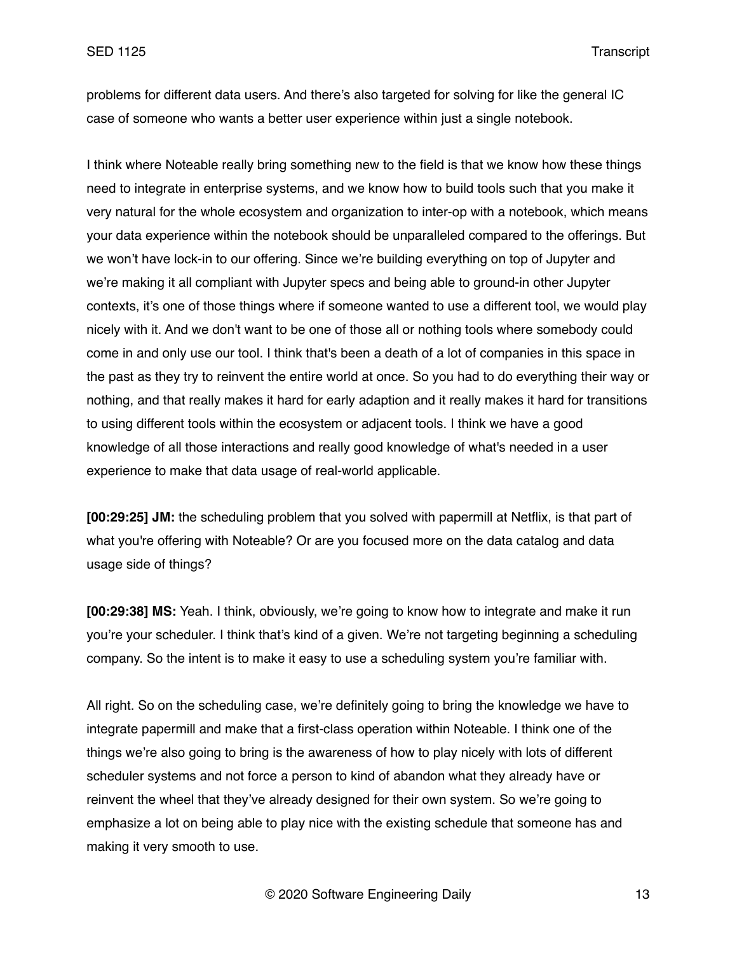problems for different data users. And there's also targeted for solving for like the general IC case of someone who wants a better user experience within just a single notebook.

I think where Noteable really bring something new to the field is that we know how these things need to integrate in enterprise systems, and we know how to build tools such that you make it very natural for the whole ecosystem and organization to inter-op with a notebook, which means your data experience within the notebook should be unparalleled compared to the offerings. But we won't have lock-in to our offering. Since we're building everything on top of Jupyter and we're making it all compliant with Jupyter specs and being able to ground-in other Jupyter contexts, it's one of those things where if someone wanted to use a different tool, we would play nicely with it. And we don't want to be one of those all or nothing tools where somebody could come in and only use our tool. I think that's been a death of a lot of companies in this space in the past as they try to reinvent the entire world at once. So you had to do everything their way or nothing, and that really makes it hard for early adaption and it really makes it hard for transitions to using different tools within the ecosystem or adjacent tools. I think we have a good knowledge of all those interactions and really good knowledge of what's needed in a user experience to make that data usage of real-world applicable.

**[00:29:25] JM:** the scheduling problem that you solved with papermill at Netflix, is that part of what you're offering with Noteable? Or are you focused more on the data catalog and data usage side of things?

**[00:29:38] MS:** Yeah. I think, obviously, we're going to know how to integrate and make it run you're your scheduler. I think that's kind of a given. We're not targeting beginning a scheduling company. So the intent is to make it easy to use a scheduling system you're familiar with.

All right. So on the scheduling case, we're definitely going to bring the knowledge we have to integrate papermill and make that a first-class operation within Noteable. I think one of the things we're also going to bring is the awareness of how to play nicely with lots of different scheduler systems and not force a person to kind of abandon what they already have or reinvent the wheel that they've already designed for their own system. So we're going to emphasize a lot on being able to play nice with the existing schedule that someone has and making it very smooth to use.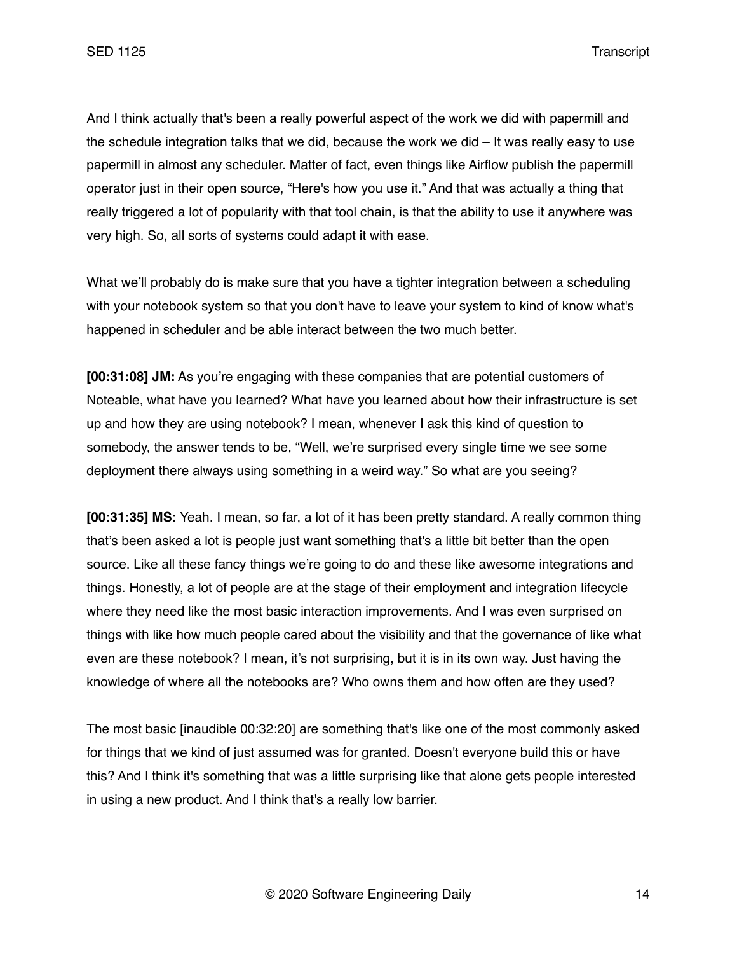And I think actually that's been a really powerful aspect of the work we did with papermill and the schedule integration talks that we did, because the work we did – It was really easy to use papermill in almost any scheduler. Matter of fact, even things like Airflow publish the papermill operator just in their open source, "Here's how you use it." And that was actually a thing that really triggered a lot of popularity with that tool chain, is that the ability to use it anywhere was very high. So, all sorts of systems could adapt it with ease.

What we'll probably do is make sure that you have a tighter integration between a scheduling with your notebook system so that you don't have to leave your system to kind of know what's happened in scheduler and be able interact between the two much better.

**[00:31:08] JM:** As you're engaging with these companies that are potential customers of Noteable, what have you learned? What have you learned about how their infrastructure is set up and how they are using notebook? I mean, whenever I ask this kind of question to somebody, the answer tends to be, "Well, we're surprised every single time we see some deployment there always using something in a weird way." So what are you seeing?

**[00:31:35] MS:** Yeah. I mean, so far, a lot of it has been pretty standard. A really common thing that's been asked a lot is people just want something that's a little bit better than the open source. Like all these fancy things we're going to do and these like awesome integrations and things. Honestly, a lot of people are at the stage of their employment and integration lifecycle where they need like the most basic interaction improvements. And I was even surprised on things with like how much people cared about the visibility and that the governance of like what even are these notebook? I mean, it's not surprising, but it is in its own way. Just having the knowledge of where all the notebooks are? Who owns them and how often are they used?

The most basic [inaudible 00:32:20] are something that's like one of the most commonly asked for things that we kind of just assumed was for granted. Doesn't everyone build this or have this? And I think it's something that was a little surprising like that alone gets people interested in using a new product. And I think that's a really low barrier.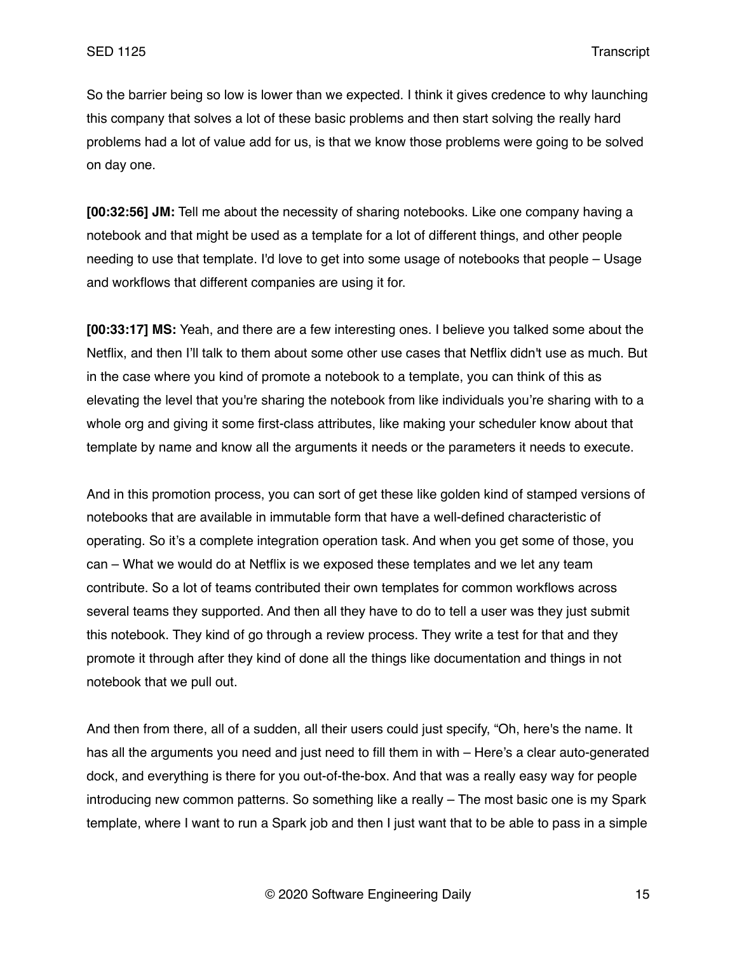So the barrier being so low is lower than we expected. I think it gives credence to why launching this company that solves a lot of these basic problems and then start solving the really hard problems had a lot of value add for us, is that we know those problems were going to be solved on day one.

**[00:32:56] JM:** Tell me about the necessity of sharing notebooks. Like one company having a notebook and that might be used as a template for a lot of different things, and other people needing to use that template. I'd love to get into some usage of notebooks that people – Usage and workflows that different companies are using it for.

**[00:33:17] MS:** Yeah, and there are a few interesting ones. I believe you talked some about the Netflix, and then I'll talk to them about some other use cases that Netflix didn't use as much. But in the case where you kind of promote a notebook to a template, you can think of this as elevating the level that you're sharing the notebook from like individuals you're sharing with to a whole org and giving it some first-class attributes, like making your scheduler know about that template by name and know all the arguments it needs or the parameters it needs to execute.

And in this promotion process, you can sort of get these like golden kind of stamped versions of notebooks that are available in immutable form that have a well-defined characteristic of operating. So it's a complete integration operation task. And when you get some of those, you can – What we would do at Netflix is we exposed these templates and we let any team contribute. So a lot of teams contributed their own templates for common workflows across several teams they supported. And then all they have to do to tell a user was they just submit this notebook. They kind of go through a review process. They write a test for that and they promote it through after they kind of done all the things like documentation and things in not notebook that we pull out.

And then from there, all of a sudden, all their users could just specify, "Oh, here's the name. It has all the arguments you need and just need to fill them in with – Here's a clear auto-generated dock, and everything is there for you out-of-the-box. And that was a really easy way for people introducing new common patterns. So something like a really – The most basic one is my Spark template, where I want to run a Spark job and then I just want that to be able to pass in a simple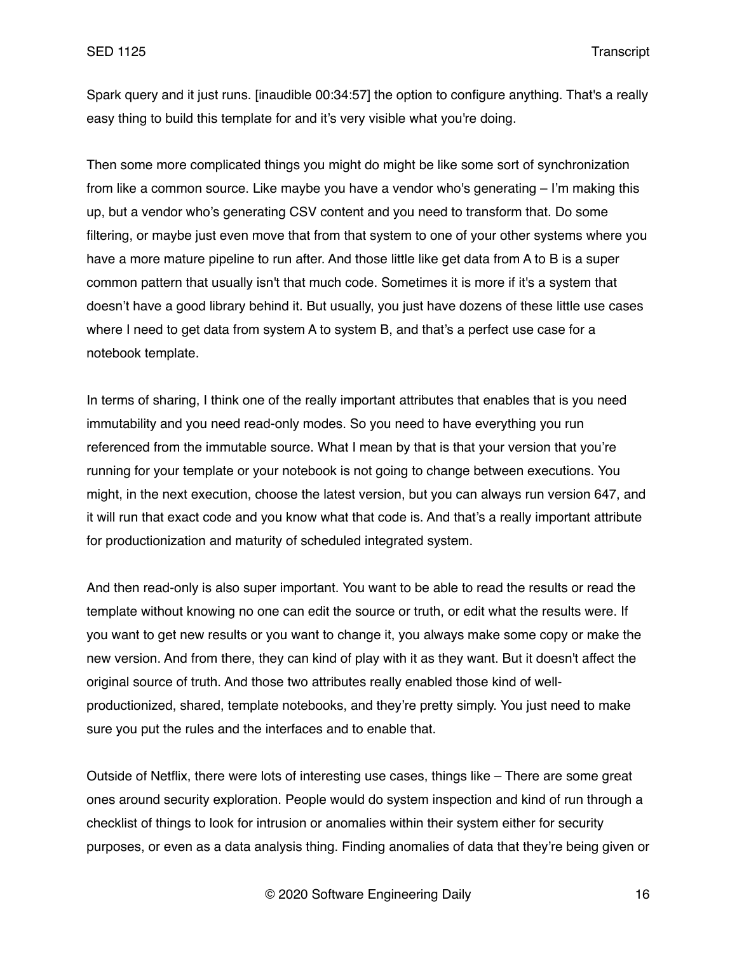Spark query and it just runs. [inaudible 00:34:57] the option to configure anything. That's a really easy thing to build this template for and it's very visible what you're doing.

Then some more complicated things you might do might be like some sort of synchronization from like a common source. Like maybe you have a vendor who's generating – I'm making this up, but a vendor who's generating CSV content and you need to transform that. Do some filtering, or maybe just even move that from that system to one of your other systems where you have a more mature pipeline to run after. And those little like get data from A to B is a super common pattern that usually isn't that much code. Sometimes it is more if it's a system that doesn't have a good library behind it. But usually, you just have dozens of these little use cases where I need to get data from system A to system B, and that's a perfect use case for a notebook template.

In terms of sharing, I think one of the really important attributes that enables that is you need immutability and you need read-only modes. So you need to have everything you run referenced from the immutable source. What I mean by that is that your version that you're running for your template or your notebook is not going to change between executions. You might, in the next execution, choose the latest version, but you can always run version 647, and it will run that exact code and you know what that code is. And that's a really important attribute for productionization and maturity of scheduled integrated system.

And then read-only is also super important. You want to be able to read the results or read the template without knowing no one can edit the source or truth, or edit what the results were. If you want to get new results or you want to change it, you always make some copy or make the new version. And from there, they can kind of play with it as they want. But it doesn't affect the original source of truth. And those two attributes really enabled those kind of wellproductionized, shared, template notebooks, and they're pretty simply. You just need to make sure you put the rules and the interfaces and to enable that.

Outside of Netflix, there were lots of interesting use cases, things like – There are some great ones around security exploration. People would do system inspection and kind of run through a checklist of things to look for intrusion or anomalies within their system either for security purposes, or even as a data analysis thing. Finding anomalies of data that they're being given or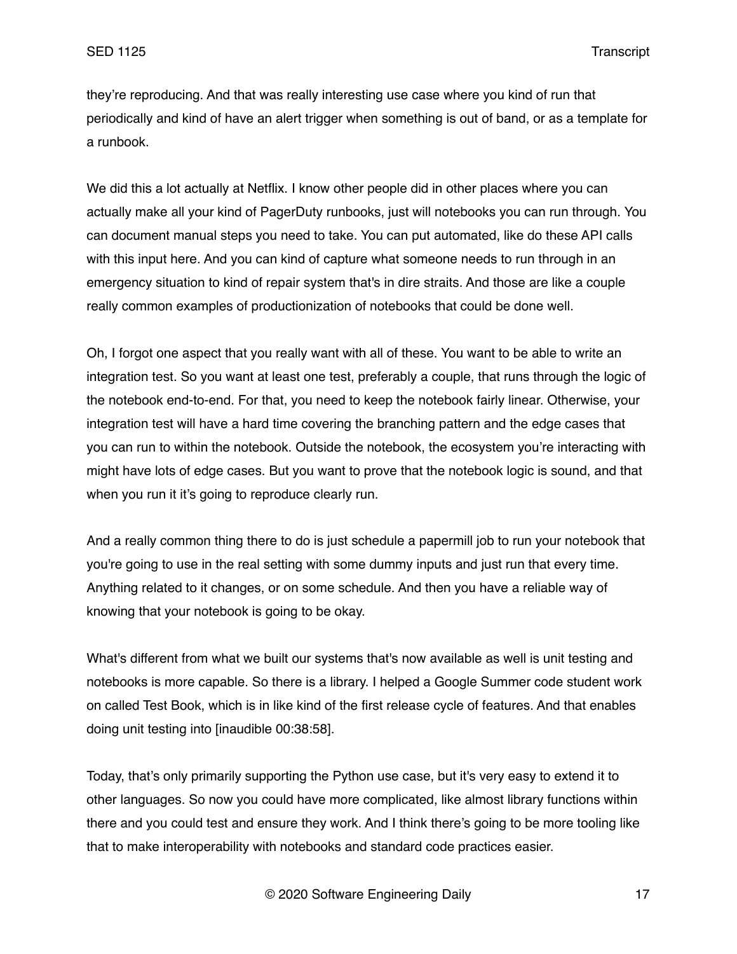they're reproducing. And that was really interesting use case where you kind of run that periodically and kind of have an alert trigger when something is out of band, or as a template for a runbook.

We did this a lot actually at Netflix. I know other people did in other places where you can actually make all your kind of PagerDuty runbooks, just will notebooks you can run through. You can document manual steps you need to take. You can put automated, like do these API calls with this input here. And you can kind of capture what someone needs to run through in an emergency situation to kind of repair system that's in dire straits. And those are like a couple really common examples of productionization of notebooks that could be done well.

Oh, I forgot one aspect that you really want with all of these. You want to be able to write an integration test. So you want at least one test, preferably a couple, that runs through the logic of the notebook end-to-end. For that, you need to keep the notebook fairly linear. Otherwise, your integration test will have a hard time covering the branching pattern and the edge cases that you can run to within the notebook. Outside the notebook, the ecosystem you're interacting with might have lots of edge cases. But you want to prove that the notebook logic is sound, and that when you run it it's going to reproduce clearly run.

And a really common thing there to do is just schedule a papermill job to run your notebook that you're going to use in the real setting with some dummy inputs and just run that every time. Anything related to it changes, or on some schedule. And then you have a reliable way of knowing that your notebook is going to be okay.

What's different from what we built our systems that's now available as well is unit testing and notebooks is more capable. So there is a library. I helped a Google Summer code student work on called Test Book, which is in like kind of the first release cycle of features. And that enables doing unit testing into [inaudible 00:38:58].

Today, that's only primarily supporting the Python use case, but it's very easy to extend it to other languages. So now you could have more complicated, like almost library functions within there and you could test and ensure they work. And I think there's going to be more tooling like that to make interoperability with notebooks and standard code practices easier.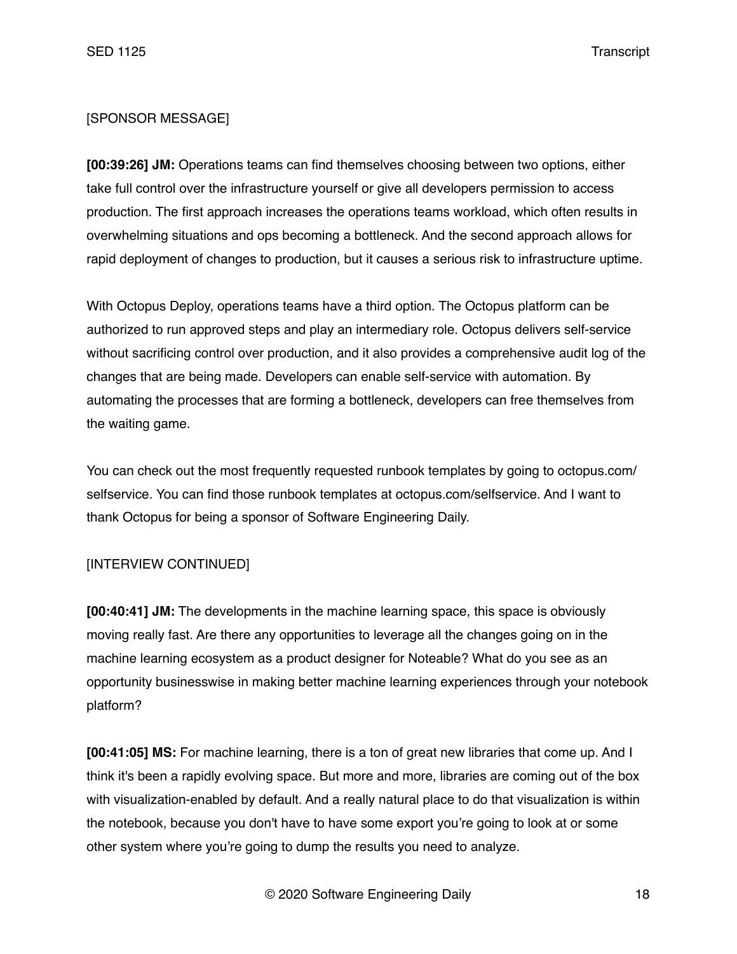# [SPONSOR MESSAGE]

**[00:39:26] JM:** Operations teams can find themselves choosing between two options, either take full control over the infrastructure yourself or give all developers permission to access production. The first approach increases the operations teams workload, which often results in overwhelming situations and ops becoming a bottleneck. And the second approach allows for rapid deployment of changes to production, but it causes a serious risk to infrastructure uptime.

With Octopus Deploy, operations teams have a third option. The Octopus platform can be authorized to run approved steps and play an intermediary role. Octopus delivers self-service without sacrificing control over production, and it also provides a comprehensive audit log of the changes that are being made. Developers can enable self-service with automation. By automating the processes that are forming a bottleneck, developers can free themselves from the waiting game.

You can check out the most frequently requested runbook templates by going to octopus.com/ selfservice. You can find those runbook templates at octopus.com/selfservice. And I want to thank Octopus for being a sponsor of Software Engineering Daily.

## [INTERVIEW CONTINUED]

**[00:40:41] JM:** The developments in the machine learning space, this space is obviously moving really fast. Are there any opportunities to leverage all the changes going on in the machine learning ecosystem as a product designer for Noteable? What do you see as an opportunity businesswise in making better machine learning experiences through your notebook platform?

**[00:41:05] MS:** For machine learning, there is a ton of great new libraries that come up. And I think it's been a rapidly evolving space. But more and more, libraries are coming out of the box with visualization-enabled by default. And a really natural place to do that visualization is within the notebook, because you don't have to have some export you're going to look at or some other system where you're going to dump the results you need to analyze.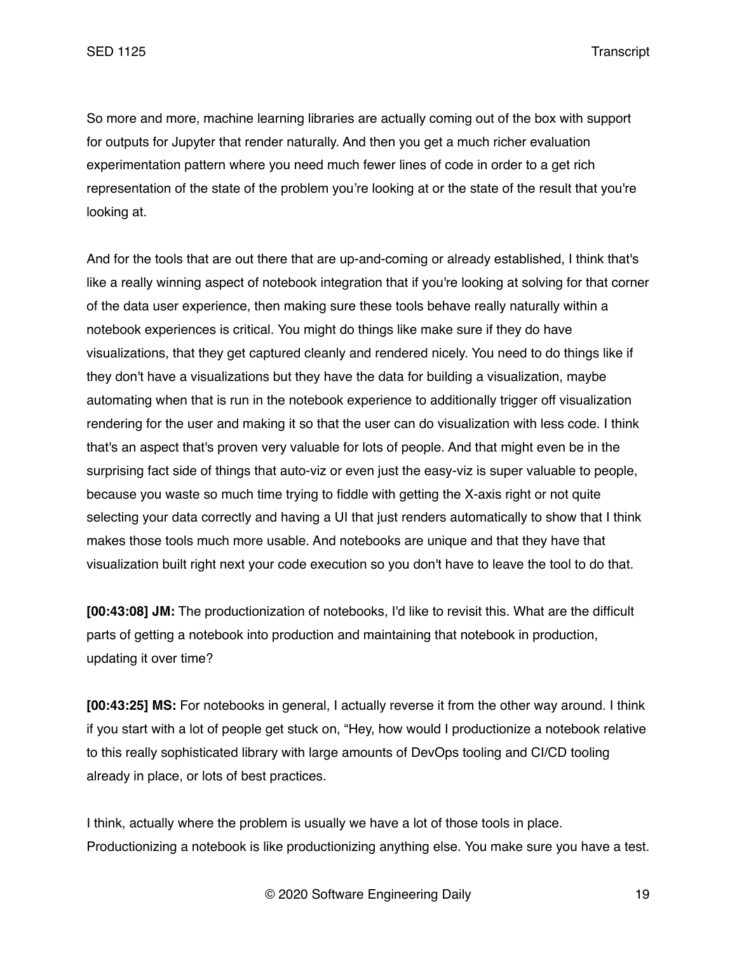So more and more, machine learning libraries are actually coming out of the box with support for outputs for Jupyter that render naturally. And then you get a much richer evaluation experimentation pattern where you need much fewer lines of code in order to a get rich representation of the state of the problem you're looking at or the state of the result that you're looking at.

And for the tools that are out there that are up-and-coming or already established, I think that's like a really winning aspect of notebook integration that if you're looking at solving for that corner of the data user experience, then making sure these tools behave really naturally within a notebook experiences is critical. You might do things like make sure if they do have visualizations, that they get captured cleanly and rendered nicely. You need to do things like if they don't have a visualizations but they have the data for building a visualization, maybe automating when that is run in the notebook experience to additionally trigger off visualization rendering for the user and making it so that the user can do visualization with less code. I think that's an aspect that's proven very valuable for lots of people. And that might even be in the surprising fact side of things that auto-viz or even just the easy-viz is super valuable to people, because you waste so much time trying to fiddle with getting the X-axis right or not quite selecting your data correctly and having a UI that just renders automatically to show that I think makes those tools much more usable. And notebooks are unique and that they have that visualization built right next your code execution so you don't have to leave the tool to do that.

**[00:43:08] JM:** The productionization of notebooks, I'd like to revisit this. What are the difficult parts of getting a notebook into production and maintaining that notebook in production, updating it over time?

**[00:43:25] MS:** For notebooks in general, I actually reverse it from the other way around. I think if you start with a lot of people get stuck on, "Hey, how would I productionize a notebook relative to this really sophisticated library with large amounts of DevOps tooling and CI/CD tooling already in place, or lots of best practices.

I think, actually where the problem is usually we have a lot of those tools in place. Productionizing a notebook is like productionizing anything else. You make sure you have a test.

© 2020 Software Engineering Daily 19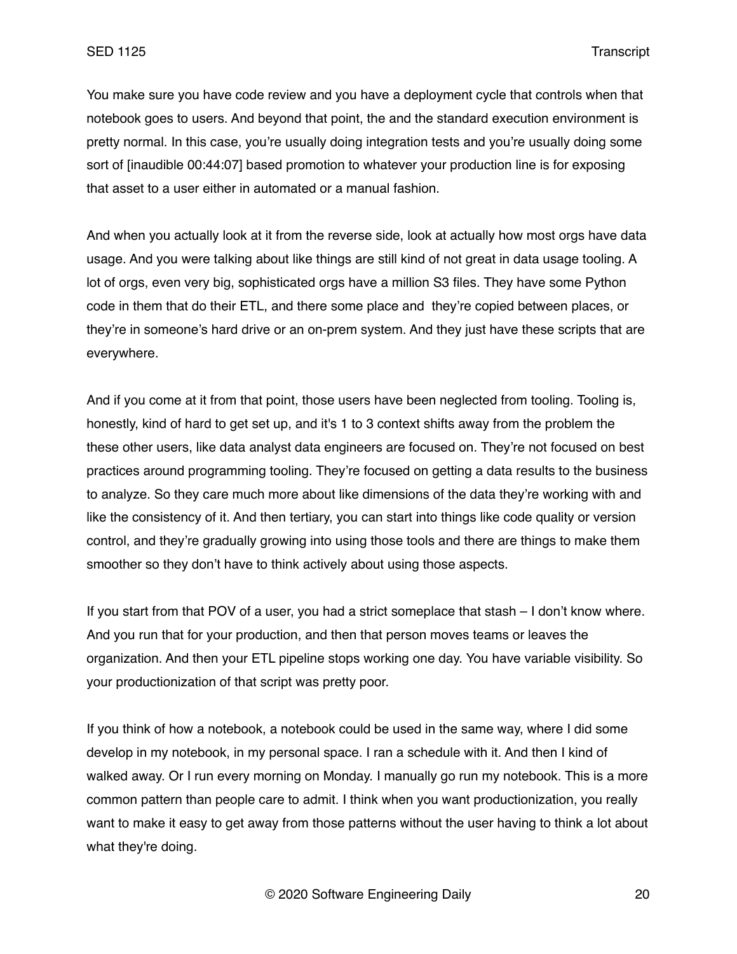You make sure you have code review and you have a deployment cycle that controls when that notebook goes to users. And beyond that point, the and the standard execution environment is pretty normal. In this case, you're usually doing integration tests and you're usually doing some sort of [inaudible 00:44:07] based promotion to whatever your production line is for exposing that asset to a user either in automated or a manual fashion.

And when you actually look at it from the reverse side, look at actually how most orgs have data usage. And you were talking about like things are still kind of not great in data usage tooling. A lot of orgs, even very big, sophisticated orgs have a million S3 files. They have some Python code in them that do their ETL, and there some place and they're copied between places, or they're in someone's hard drive or an on-prem system. And they just have these scripts that are everywhere.

And if you come at it from that point, those users have been neglected from tooling. Tooling is, honestly, kind of hard to get set up, and it's 1 to 3 context shifts away from the problem the these other users, like data analyst data engineers are focused on. They're not focused on best practices around programming tooling. They're focused on getting a data results to the business to analyze. So they care much more about like dimensions of the data they're working with and like the consistency of it. And then tertiary, you can start into things like code quality or version control, and they're gradually growing into using those tools and there are things to make them smoother so they don't have to think actively about using those aspects.

If you start from that POV of a user, you had a strict someplace that stash – I don't know where. And you run that for your production, and then that person moves teams or leaves the organization. And then your ETL pipeline stops working one day. You have variable visibility. So your productionization of that script was pretty poor.

If you think of how a notebook, a notebook could be used in the same way, where I did some develop in my notebook, in my personal space. I ran a schedule with it. And then I kind of walked away. Or I run every morning on Monday. I manually go run my notebook. This is a more common pattern than people care to admit. I think when you want productionization, you really want to make it easy to get away from those patterns without the user having to think a lot about what they're doing.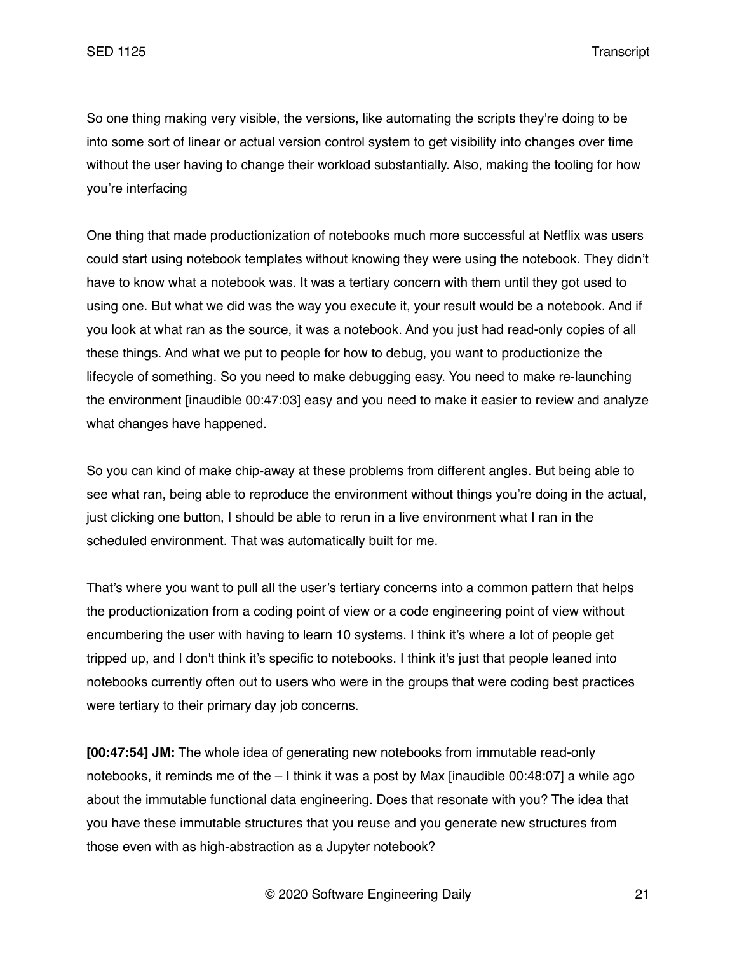So one thing making very visible, the versions, like automating the scripts they're doing to be into some sort of linear or actual version control system to get visibility into changes over time without the user having to change their workload substantially. Also, making the tooling for how you're interfacing

One thing that made productionization of notebooks much more successful at Netflix was users could start using notebook templates without knowing they were using the notebook. They didn't have to know what a notebook was. It was a tertiary concern with them until they got used to using one. But what we did was the way you execute it, your result would be a notebook. And if you look at what ran as the source, it was a notebook. And you just had read-only copies of all these things. And what we put to people for how to debug, you want to productionize the lifecycle of something. So you need to make debugging easy. You need to make re-launching the environment [inaudible 00:47:03] easy and you need to make it easier to review and analyze what changes have happened.

So you can kind of make chip-away at these problems from different angles. But being able to see what ran, being able to reproduce the environment without things you're doing in the actual, just clicking one button, I should be able to rerun in a live environment what I ran in the scheduled environment. That was automatically built for me.

That's where you want to pull all the user's tertiary concerns into a common pattern that helps the productionization from a coding point of view or a code engineering point of view without encumbering the user with having to learn 10 systems. I think it's where a lot of people get tripped up, and I don't think it's specific to notebooks. I think it's just that people leaned into notebooks currently often out to users who were in the groups that were coding best practices were tertiary to their primary day job concerns.

**[00:47:54] JM:** The whole idea of generating new notebooks from immutable read-only notebooks, it reminds me of the  $-1$  think it was a post by Max [inaudible 00:48:07] a while ago about the immutable functional data engineering. Does that resonate with you? The idea that you have these immutable structures that you reuse and you generate new structures from those even with as high-abstraction as a Jupyter notebook?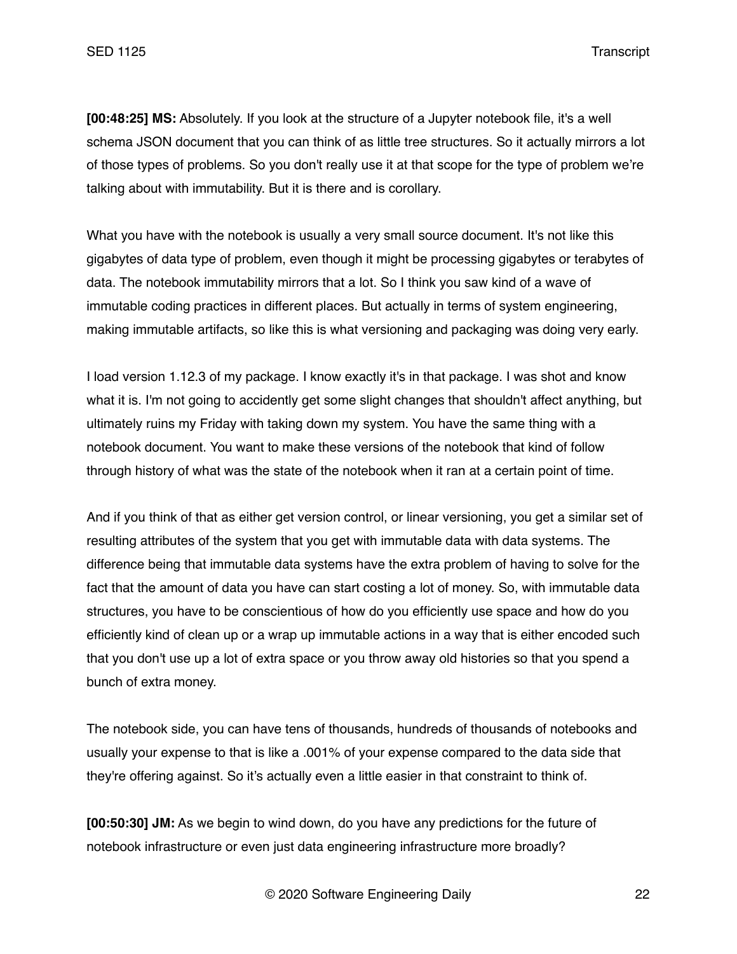**[00:48:25] MS:** Absolutely. If you look at the structure of a Jupyter notebook file, it's a well schema JSON document that you can think of as little tree structures. So it actually mirrors a lot of those types of problems. So you don't really use it at that scope for the type of problem we're talking about with immutability. But it is there and is corollary.

What you have with the notebook is usually a very small source document. It's not like this gigabytes of data type of problem, even though it might be processing gigabytes or terabytes of data. The notebook immutability mirrors that a lot. So I think you saw kind of a wave of immutable coding practices in different places. But actually in terms of system engineering, making immutable artifacts, so like this is what versioning and packaging was doing very early.

I load version 1.12.3 of my package. I know exactly it's in that package. I was shot and know what it is. I'm not going to accidently get some slight changes that shouldn't affect anything, but ultimately ruins my Friday with taking down my system. You have the same thing with a notebook document. You want to make these versions of the notebook that kind of follow through history of what was the state of the notebook when it ran at a certain point of time.

And if you think of that as either get version control, or linear versioning, you get a similar set of resulting attributes of the system that you get with immutable data with data systems. The difference being that immutable data systems have the extra problem of having to solve for the fact that the amount of data you have can start costing a lot of money. So, with immutable data structures, you have to be conscientious of how do you efficiently use space and how do you efficiently kind of clean up or a wrap up immutable actions in a way that is either encoded such that you don't use up a lot of extra space or you throw away old histories so that you spend a bunch of extra money.

The notebook side, you can have tens of thousands, hundreds of thousands of notebooks and usually your expense to that is like a .001% of your expense compared to the data side that they're offering against. So it's actually even a little easier in that constraint to think of.

**[00:50:30] JM:** As we begin to wind down, do you have any predictions for the future of notebook infrastructure or even just data engineering infrastructure more broadly?

© 2020 Software Engineering Daily 22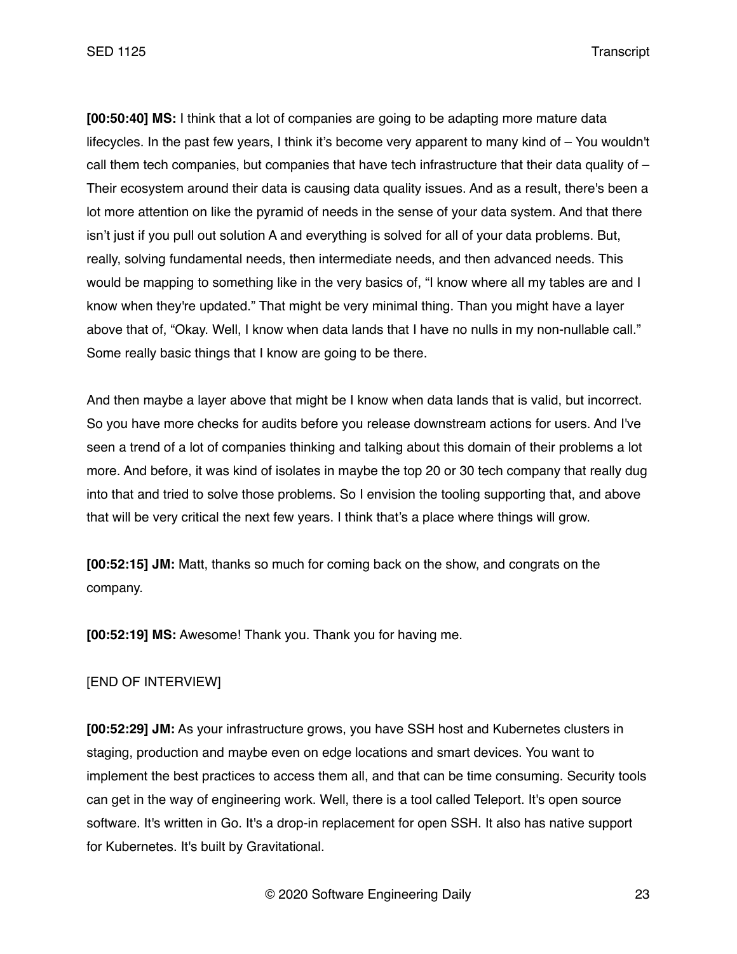**[00:50:40] MS:** I think that a lot of companies are going to be adapting more mature data lifecycles. In the past few years, I think it's become very apparent to many kind of – You wouldn't call them tech companies, but companies that have tech infrastructure that their data quality of  $-$ Their ecosystem around their data is causing data quality issues. And as a result, there's been a lot more attention on like the pyramid of needs in the sense of your data system. And that there isn't just if you pull out solution A and everything is solved for all of your data problems. But, really, solving fundamental needs, then intermediate needs, and then advanced needs. This would be mapping to something like in the very basics of, "I know where all my tables are and I know when they're updated." That might be very minimal thing. Than you might have a layer above that of, "Okay. Well, I know when data lands that I have no nulls in my non-nullable call." Some really basic things that I know are going to be there.

And then maybe a layer above that might be I know when data lands that is valid, but incorrect. So you have more checks for audits before you release downstream actions for users. And I've seen a trend of a lot of companies thinking and talking about this domain of their problems a lot more. And before, it was kind of isolates in maybe the top 20 or 30 tech company that really dug into that and tried to solve those problems. So I envision the tooling supporting that, and above that will be very critical the next few years. I think that's a place where things will grow.

**[00:52:15] JM:** Matt, thanks so much for coming back on the show, and congrats on the company.

**[00:52:19] MS:** Awesome! Thank you. Thank you for having me.

## [END OF INTERVIEW]

**[00:52:29] JM:** As your infrastructure grows, you have SSH host and Kubernetes clusters in staging, production and maybe even on edge locations and smart devices. You want to implement the best practices to access them all, and that can be time consuming. Security tools can get in the way of engineering work. Well, there is a tool called Teleport. It's open source software. It's written in Go. It's a drop-in replacement for open SSH. It also has native support for Kubernetes. It's built by Gravitational.